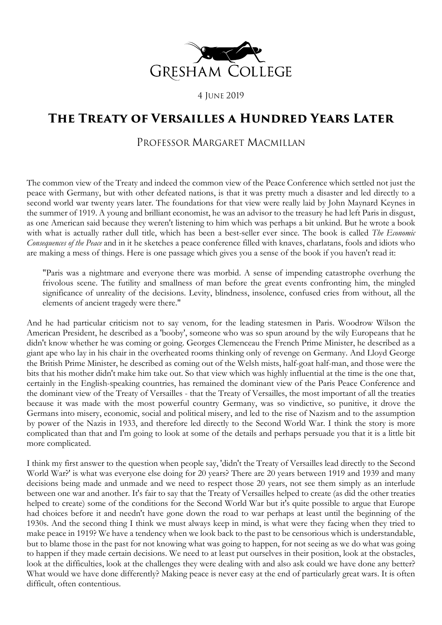

4 JUNE 2019

## **The Treaty of Versailles a Hundred Years Later**

## PROFESSOR MARGARET MACMILLAN

The common view of the Treaty and indeed the common view of the Peace Conference which settled not just the peace with Germany, but with other defeated nations, is that it was pretty much a disaster and led directly to a second world war twenty years later. The foundations for that view were really laid by John Maynard Keynes in the summer of 1919. A young and brilliant economist, he was an advisor to the treasury he had left Paris in disgust, as one American said because they weren't listening to him which was perhaps a bit unkind. But he wrote a book with what is actually rather dull title, which has been a best-seller ever since. The book is called *The Economic Consequences of the Peace* and in it he sketches a peace conference filled with knaves, charlatans, fools and idiots who are making a mess of things. Here is one passage which gives you a sense of the book if you haven't read it:

"Paris was a nightmare and everyone there was morbid. A sense of impending catastrophe overhung the frivolous scene. The futility and smallness of man before the great events confronting him, the mingled significance of unreality of the decisions. Levity, blindness, insolence, confused cries from without, all the elements of ancient tragedy were there."

And he had particular criticism not to say venom, for the leading statesmen in Paris. Woodrow Wilson the American President, he described as a 'booby', someone who was so spun around by the wily Europeans that he didn't know whether he was coming or going. Georges Clemenceau the French Prime Minister, he described as a giant ape who lay in his chair in the overheated rooms thinking only of revenge on Germany. And Lloyd George the British Prime Minister, he described as coming out of the Welsh mists, half-goat half-man, and those were the bits that his mother didn't make him take out. So that view which was highly influential at the time is the one that, certainly in the English-speaking countries, has remained the dominant view of the Paris Peace Conference and the dominant view of the Treaty of Versailles - that the Treaty of Versailles, the most important of all the treaties because it was made with the most powerful country Germany, was so vindictive, so punitive, it drove the Germans into misery, economic, social and political misery, and led to the rise of Nazism and to the assumption by power of the Nazis in 1933, and therefore led directly to the Second World War. I think the story is more complicated than that and I'm going to look at some of the details and perhaps persuade you that it is a little bit more complicated.

I think my first answer to the question when people say, 'didn't the Treaty of Versailles lead directly to the Second World War?' is what was everyone else doing for 20 years? There are 20 years between 1919 and 1939 and many decisions being made and unmade and we need to respect those 20 years, not see them simply as an interlude between one war and another. It's fair to say that the Treaty of Versailles helped to create (as did the other treaties helped to create) some of the conditions for the Second World War but it's quite possible to argue that Europe had choices before it and needn't have gone down the road to war perhaps at least until the beginning of the 1930s. And the second thing I think we must always keep in mind, is what were they facing when they tried to make peace in 1919? We have a tendency when we look back to the past to be censorious which is understandable, but to blame those in the past for not knowing what was going to happen, for not seeing as we do what was going to happen if they made certain decisions. We need to at least put ourselves in their position, look at the obstacles, look at the difficulties, look at the challenges they were dealing with and also ask could we have done any better? What would we have done differently? Making peace is never easy at the end of particularly great wars. It is often difficult, often contentious.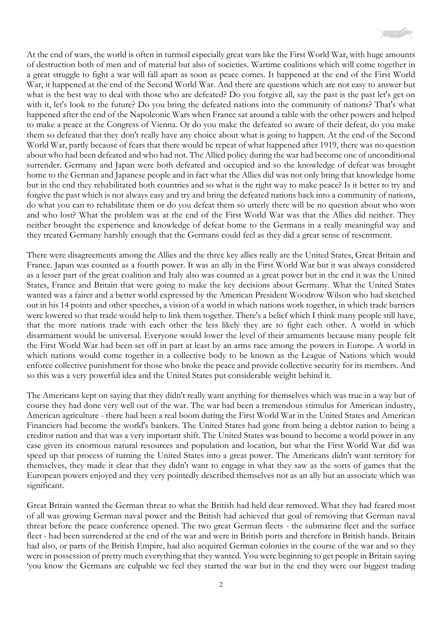

At the end of wars, the world is often in turmoil especially great wars like the First World War, with huge amounts of destruction both of men and of material but also of societies. Wartime coalitions which will come together in a great struggle to fight a war will fall apart as soon as peace comes. It happened at the end of the First World War, it happened at the end of the Second World War. And there are questions which are not easy to answer but what is the best way to deal with those who are defeated? Do you forgive all, say the past is the past let's get on with it, let's look to the future? Do you bring the defeated nations into the community of nations? That's what happened after the end of the Napoleonic Wars when France sat around a table with the other powers and helped to make a peace at the Congress of Vienna. Or do you make the defeated so aware of their defeat, do you make them so defeated that they don't really have any choice about what is going to happen. At the end of the Second World War, partly because of fears that there would be repeat of what happened after 1919, there was no question about who had been defeated and who had not. The Allied policy during the war had become one of unconditional surrender. Germany and Japan were both defeated and occupied and so the knowledge of defeat was brought home to the German and Japanese people and in fact what the Allies did was not only bring that knowledge home but in the end they rehabilitated both countries and so what is the right way to make peace? Is it better to try and forgive the past which is not always easy and try and bring the defeated nations back into a community of nations, do what you can to rehabilitate them or do you defeat them so utterly there will be no question about who won and who lost? What the problem was at the end of the First World War was that the Allies did neither. They neither brought the experience and knowledge of defeat home to the Germans in a really meaningful way and they treated Germany harshly enough that the Germans could feel as they did a great sense of resentment.

There were disagreements among the Allies and the three key allies really are the United States, Great Britain and France. Japan was counted as a fourth power. It was an ally in the First World War but it was always considered as a lesser part of the great coalition and Italy also was counted as a great power but in the end it was the United States, France and Britain that were going to make the key decisions about Germany. What the United States wanted was a fairer and a better world expressed by the American President Woodrow Wilson who had sketched out in his 14 points and other speeches, a vision of a world in which nations work together, in which trade barriers were lowered so that trade would help to link them together. There's a belief which I think many people still have, that the more nations trade with each other the less likely they are to fight each other. A world in which disarmament would be universal. Everyone would lower the level of their armaments because many people felt the First World War had been set off in part at least by an arms race among the powers in Europe. A world in which nations would come together in a collective body to be known as the League of Nations which would enforce collective punishment for those who broke the peace and provide collective security for its members. And so this was a very powerful idea and the United States put considerable weight behind it.

The Americans kept on saying that they didn't really want anything for themselves which was true in a way but of course they had done very well out of the war. The war had been a tremendous stimulus for American industry, American agriculture - there had been a real boom during the First World War in the United States and American Financiers had become the world's bankers. The United States had gone from being a debtor nation to being a creditor nation and that was a very important shift. The United States was bound to become a world power in any case given its enormous natural resources and population and location, but what the First World War did was speed up that process of turning the United States into a great power. The Americans didn't want territory for themselves, they made it clear that they didn't want to engage in what they saw as the sorts of games that the European powers enjoyed and they very pointedly described themselves not as an ally but an associate which was significant.

Great Britain wanted the German threat to what the British had held dear removed. What they had feared most of all was growing German naval power and the British had achieved that goal of removing that German naval threat before the peace conference opened. The two great German fleets - the submarine fleet and the surface fleet - had been surrendered at the end of the war and were in British ports and therefore in British hands. Britain had also, or parts of the British Empire, had also acquired German colonies in the course of the war and so they were in possession of pretty much everything that they wanted. You were beginning to get people in Britain saying 'you know the Germans are culpable we feel they started the war but in the end they were our biggest trading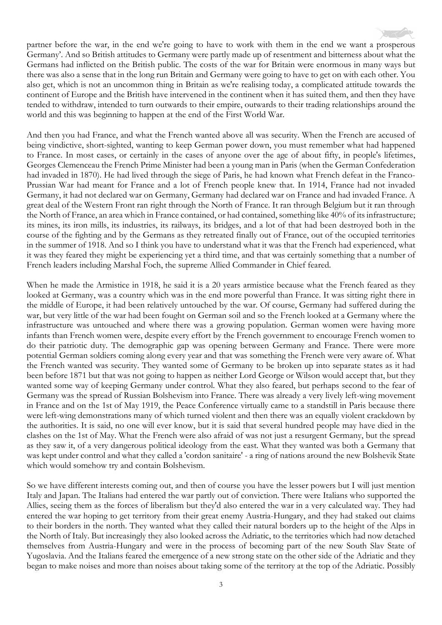partner before the war, in the end we're going to have to work with them in the end we want a prosperous Germany'. And so British attitudes to Germany were partly made up of resentment and bitterness about what the Germans had inflicted on the British public. The costs of the war for Britain were enormous in many ways but there was also a sense that in the long run Britain and Germany were going to have to get on with each other. You also get, which is not an uncommon thing in Britain as we're realising today, a complicated attitude towards the continent of Europe and the British have intervened in the continent when it has suited them, and then they have tended to withdraw, intended to turn outwards to their empire, outwards to their trading relationships around the world and this was beginning to happen at the end of the First World War.

And then you had France, and what the French wanted above all was security. When the French are accused of being vindictive, short-sighted, wanting to keep German power down, you must remember what had happened to France. In most cases, or certainly in the cases of anyone over the age of about fifty, in people's lifetimes, Georges Clemenceau the French Prime Minister had been a young man in Paris (when the German Confederation had invaded in 1870). He had lived through the siege of Paris, he had known what French defeat in the Franco-Prussian War had meant for France and a lot of French people knew that. In 1914, France had not invaded Germany, it had not declared war on Germany, Germany had declared war on France and had invaded France. A great deal of the Western Front ran right through the North of France. It ran through Belgium but it ran through the North of France, an area which in France contained, or had contained, something like 40% of its infrastructure; its mines, its iron mills, its industries, its railways, its bridges, and a lot of that had been destroyed both in the course of the fighting and by the Germans as they retreated finally out of France, out of the occupied territories in the summer of 1918. And so I think you have to understand what it was that the French had experienced, what it was they feared they might be experiencing yet a third time, and that was certainly something that a number of French leaders including Marshal Foch, the supreme Allied Commander in Chief feared.

When he made the Armistice in 1918, he said it is a 20 years armistice because what the French feared as they looked at Germany, was a country which was in the end more powerful than France. It was sitting right there in the middle of Europe, it had been relatively untouched by the war. Of course, Germany had suffered during the war, but very little of the war had been fought on German soil and so the French looked at a Germany where the infrastructure was untouched and where there was a growing population. German women were having more infants than French women were, despite every effort by the French government to encourage French women to do their patriotic duty. The demographic gap was opening between Germany and France. There were more potential German soldiers coming along every year and that was something the French were very aware of. What the French wanted was security. They wanted some of Germany to be broken up into separate states as it had been before 1871 but that was not going to happen as neither Lord George or Wilson would accept that, but they wanted some way of keeping Germany under control. What they also feared, but perhaps second to the fear of Germany was the spread of Russian Bolshevism into France. There was already a very lively left-wing movement in France and on the 1st of May 1919, the Peace Conference virtually came to a standstill in Paris because there were left-wing demonstrations many of which turned violent and then there was an equally violent crackdown by the authorities. It is said, no one will ever know, but it is said that several hundred people may have died in the clashes on the 1st of May. What the French were also afraid of was not just a resurgent Germany, but the spread as they saw it, of a very dangerous political ideology from the east. What they wanted was both a Germany that was kept under control and what they called a 'cordon sanitaire' - a ring of nations around the new Bolshevik State which would somehow try and contain Bolshevism.

So we have different interests coming out, and then of course you have the lesser powers but I will just mention Italy and Japan. The Italians had entered the war partly out of conviction. There were Italians who supported the Allies, seeing them as the forces of liberalism but they'd also entered the war in a very calculated way. They had entered the war hoping to get territory from their great enemy Austria-Hungary, and they had staked out claims to their borders in the north. They wanted what they called their natural borders up to the height of the Alps in the North of Italy. But increasingly they also looked across the Adriatic, to the territories which had now detached themselves from Austria-Hungary and were in the process of becoming part of the new South Slav State of Yugoslavia. And the Italians feared the emergence of a new strong state on the other side of the Adriatic and they began to make noises and more than noises about taking some of the territory at the top of the Adriatic. Possibly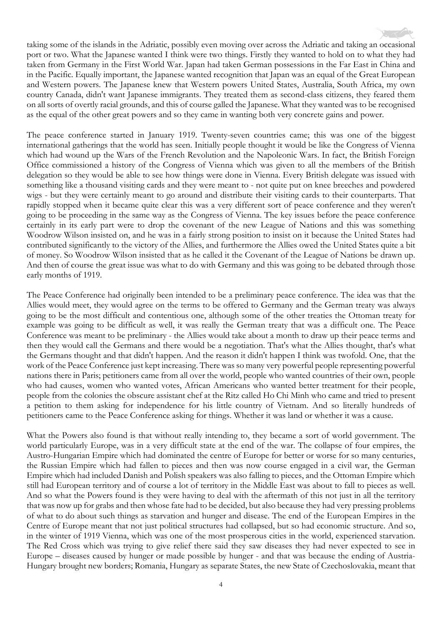taking some of the islands in the Adriatic, possibly even moving over across the Adriatic and taking an occasional port or two. What the Japanese wanted I think were two things. Firstly they wanted to hold on to what they had taken from Germany in the First World War. Japan had taken German possessions in the Far East in China and in the Pacific. Equally important, the Japanese wanted recognition that Japan was an equal of the Great European and Western powers. The Japanese knew that Western powers United States, Australia, South Africa, my own country Canada, didn't want Japanese immigrants. They treated them as second-class citizens, they feared them on all sorts of overtly racial grounds, and this of course galled the Japanese. What they wanted was to be recognised as the equal of the other great powers and so they came in wanting both very concrete gains and power.

The peace conference started in January 1919. Twenty-seven countries came; this was one of the biggest international gatherings that the world has seen. Initially people thought it would be like the Congress of Vienna which had wound up the Wars of the French Revolution and the Napoleonic Wars. In fact, the British Foreign Office commissioned a history of the Congress of Vienna which was given to all the members of the British delegation so they would be able to see how things were done in Vienna. Every British delegate was issued with something like a thousand visiting cards and they were meant to - not quite put on knee breeches and powdered wigs - but they were certainly meant to go around and distribute their visiting cards to their counterparts. That rapidly stopped when it became quite clear this was a very different sort of peace conference and they weren't going to be proceeding in the same way as the Congress of Vienna. The key issues before the peace conference certainly in its early part were to drop the covenant of the new League of Nations and this was something Woodrow Wilson insisted on, and he was in a fairly strong position to insist on it because the United States had contributed significantly to the victory of the Allies, and furthermore the Allies owed the United States quite a bit of money. So Woodrow Wilson insisted that as he called it the Covenant of the League of Nations be drawn up. And then of course the great issue was what to do with Germany and this was going to be debated through those early months of 1919.

The Peace Conference had originally been intended to be a preliminary peace conference. The idea was that the Allies would meet, they would agree on the terms to be offered to Germany and the German treaty was always going to be the most difficult and contentious one, although some of the other treaties the Ottoman treaty for example was going to be difficult as well, it was really the German treaty that was a difficult one. The Peace Conference was meant to be preliminary - the Allies would take about a month to draw up their peace terms and then they would call the Germans and there would be a negotiation. That's what the Allies thought, that's what the Germans thought and that didn't happen. And the reason it didn't happen I think was twofold. One, that the work of the Peace Conference just kept increasing. There was so many very powerful people representing powerful nations there in Paris; petitioners came from all over the world, people who wanted countries of their own, people who had causes, women who wanted votes, African Americans who wanted better treatment for their people, people from the colonies the obscure assistant chef at the Ritz called Ho Chi Minh who came and tried to present a petition to them asking for independence for his little country of Vietnam. And so literally hundreds of petitioners came to the Peace Conference asking for things. Whether it was land or whether it was a cause.

What the Powers also found is that without really intending to, they became a sort of world government. The world particularly Europe, was in a very difficult state at the end of the war. The collapse of four empires, the Austro-Hungarian Empire which had dominated the centre of Europe for better or worse for so many centuries, the Russian Empire which had fallen to pieces and then was now course engaged in a civil war, the German Empire which had included Danish and Polish speakers was also falling to pieces, and the Ottoman Empire which still had European territory and of course a lot of territory in the Middle East was about to fall to pieces as well. And so what the Powers found is they were having to deal with the aftermath of this not just in all the territory that was now up for grabs and then whose fate had to be decided, but also because they had very pressing problems of what to do about such things as starvation and hunger and disease. The end of the European Empires in the Centre of Europe meant that not just political structures had collapsed, but so had economic structure. And so, in the winter of 1919 Vienna, which was one of the most prosperous cities in the world, experienced starvation. The Red Cross which was trying to give relief there said they saw diseases they had never expected to see in Europe – diseases caused by hunger or made possible by hunger - and that was because the ending of Austria-Hungary brought new borders; Romania, Hungary as separate States, the new State of Czechoslovakia, meant that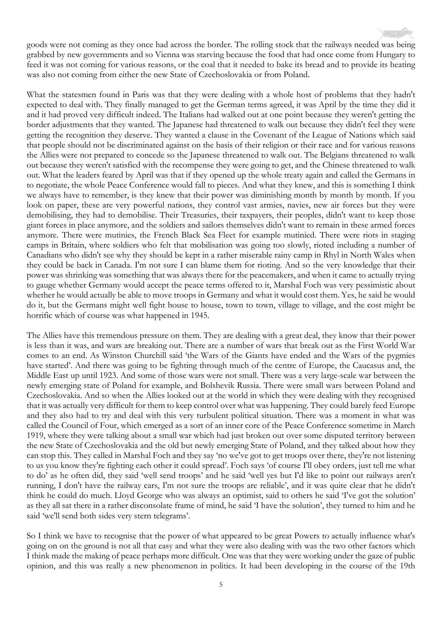goods were not coming as they once had across the border. The rolling stock that the railways needed was being grabbed by new governments and so Vienna was starving because the food that had once come from Hungary to feed it was not coming for various reasons, or the coal that it needed to bake its bread and to provide its heating was also not coming from either the new State of Czechoslovakia or from Poland.

What the statesmen found in Paris was that they were dealing with a whole host of problems that they hadn't expected to deal with. They finally managed to get the German terms agreed, it was April by the time they did it and it had proved very difficult indeed. The Italians had walked out at one point because they weren't getting the border adjustments that they wanted. The Japanese had threatened to walk out because they didn't feel they were getting the recognition they deserve. They wanted a clause in the Covenant of the League of Nations which said that people should not be discriminated against on the basis of their religion or their race and for various reasons the Allies were not prepared to concede so the Japanese threatened to walk out. The Belgians threatened to walk out because they weren't satisfied with the recompense they were going to get, and the Chinese threatened to walk out. What the leaders feared by April was that if they opened up the whole treaty again and called the Germans in to negotiate, the whole Peace Conference would fall to pieces. And what they knew, and this is something I think we always have to remember, is they knew that their power was diminishing month by month by month. If you look on paper, these are very powerful nations, they control vast armies, navies, new air forces but they were demobilising, they had to demobilise. Their Treasuries, their taxpayers, their peoples, didn't want to keep those giant forces in place anymore, and the soldiers and sailors themselves didn't want to remain in these armed forces anymore. There were mutinies, the French Black Sea Fleet for example mutinied. There were riots in staging camps in Britain, where soldiers who felt that mobilisation was going too slowly, rioted including a number of Canadians who didn't see why they should be kept in a rather miserable rainy camp in Rhyl in North Wales when they could be back in Canada. I'm not sure I can blame them for rioting. And so the very knowledge that their power was shrinking was something that was always there for the peacemakers, and when it came to actually trying to gauge whether Germany would accept the peace terms offered to it, Marshal Foch was very pessimistic about whether he would actually be able to move troops in Germany and what it would cost them. Yes, he said he would do it, but the Germans might well fight house to house, town to town, village to village, and the cost might be horrific which of course was what happened in 1945.

The Allies have this tremendous pressure on them. They are dealing with a great deal, they know that their power is less than it was, and wars are breaking out. There are a number of wars that break out as the First World War comes to an end. As Winston Churchill said 'the Wars of the Giants have ended and the Wars of the pygmies have started'. And there was going to be fighting through much of the centre of Europe, the Caucasus and, the Middle East up until 1923. And some of those wars were not small. There was a very large-scale war between the newly emerging state of Poland for example, and Bolshevik Russia. There were small wars between Poland and Czechoslovakia. And so when the Allies looked out at the world in which they were dealing with they recognised that it was actually very difficult for them to keep control over what was happening. They could barely feed Europe and they also had to try and deal with this very turbulent political situation. There was a moment in what was called the Council of Four, which emerged as a sort of an inner core of the Peace Conference sometime in March 1919, where they were talking about a small war which had just broken out over some disputed territory between the new State of Czechoslovakia and the old but newly emerging State of Poland, and they talked about how they can stop this. They called in Marshal Foch and they say 'no we've got to get troops over there, they're not listening to us you know they're fighting each other it could spread'. Foch says 'of course I'll obey orders, just tell me what to do' as he often did, they said 'well send troops' and he said 'well yes but I'd like to point out railways aren't running, I don't have the railway cars, I'm not sure the troops are reliable', and it was quite clear that he didn't think he could do much. Lloyd George who was always an optimist, said to others he said 'I've got the solution' as they all sat there in a rather disconsolate frame of mind, he said 'I have the solution', they turned to him and he said 'we'll send both sides very stern telegrams'.

So I think we have to recognise that the power of what appeared to be great Powers to actually influence what's going on on the ground is not all that easy and what they were also dealing with was the two other factors which I think made the making of peace perhaps more difficult. One was that they were working under the gaze of public opinion, and this was really a new phenomenon in politics. It had been developing in the course of the 19th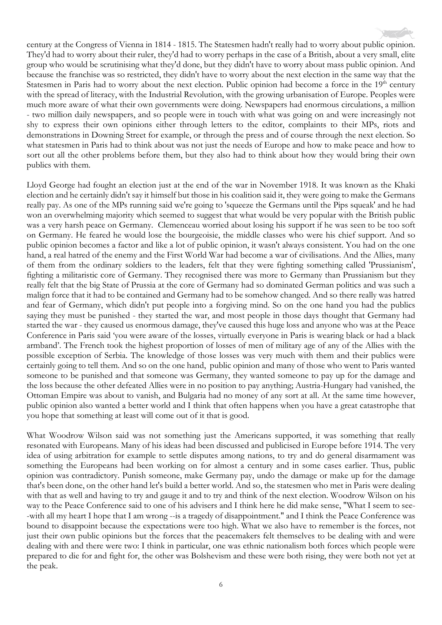century at the Congress of Vienna in 1814 - 1815. The Statesmen hadn't really had to worry about public opinion. They'd had to worry about their ruler, they'd had to worry perhaps in the case of a British, about a very small, elite group who would be scrutinising what they'd done, but they didn't have to worry about mass public opinion. And because the franchise was so restricted, they didn't have to worry about the next election in the same way that the Statesmen in Paris had to worry about the next election. Public opinion had become a force in the 19<sup>th</sup> century with the spread of literacy, with the Industrial Revolution, with the growing urbanisation of Europe. Peoples were much more aware of what their own governments were doing. Newspapers had enormous circulations, a million - two million daily newspapers, and so people were in touch with what was going on and were increasingly not shy to express their own opinions either through letters to the editor, complaints to their MPs, riots and demonstrations in Downing Street for example, or through the press and of course through the next election. So what statesmen in Paris had to think about was not just the needs of Europe and how to make peace and how to sort out all the other problems before them, but they also had to think about how they would bring their own publics with them.

Lloyd George had fought an election just at the end of the war in November 1918. It was known as the Khaki election and he certainly didn't say it himself but those in his coalition said it, they were going to make the Germans really pay. As one of the MPs running said we're going to 'squeeze the Germans until the Pips squeak' and he had won an overwhelming majority which seemed to suggest that what would be very popular with the British public was a very harsh peace on Germany. Clemenceau worried about losing his support if he was seen to be too soft on Germany. He feared he would lose the bourgeoisie, the middle classes who were his chief support. And so public opinion becomes a factor and like a lot of public opinion, it wasn't always consistent. You had on the one hand, a real hatred of the enemy and the First World War had become a war of civilisations. And the Allies, many of them from the ordinary soldiers to the leaders, felt that they were fighting something called 'Prussianism', fighting a militaristic core of Germany. They recognised there was more to Germany than Prussianism but they really felt that the big State of Prussia at the core of Germany had so dominated German politics and was such a malign force that it had to be contained and Germany had to be somehow changed. And so there really was hatred and fear of Germany, which didn't put people into a forgiving mind. So on the one hand you had the publics saying they must be punished - they started the war, and most people in those days thought that Germany had started the war - they caused us enormous damage, they've caused this huge loss and anyone who was at the Peace Conference in Paris said 'you were aware of the losses, virtually everyone in Paris is wearing black or had a black armband'. The French took the highest proportion of losses of men of military age of any of the Allies with the possible exception of Serbia. The knowledge of those losses was very much with them and their publics were certainly going to tell them. And so on the one hand, public opinion and many of those who went to Paris wanted someone to be punished and that someone was Germany, they wanted someone to pay up for the damage and the loss because the other defeated Allies were in no position to pay anything; Austria-Hungary had vanished, the Ottoman Empire was about to vanish, and Bulgaria had no money of any sort at all. At the same time however, public opinion also wanted a better world and I think that often happens when you have a great catastrophe that you hope that something at least will come out of it that is good.

What Woodrow Wilson said was not something just the Americans supported, it was something that really resonated with Europeans. Many of his ideas had been discussed and publicised in Europe before 1914. The very idea of using arbitration for example to settle disputes among nations, to try and do general disarmament was something the Europeans had been working on for almost a century and in some cases earlier. Thus, public opinion was contradictory. Punish someone, make Germany pay, undo the damage or make up for the damage that's been done, on the other hand let's build a better world. And so, the statesmen who met in Paris were dealing with that as well and having to try and gauge it and to try and think of the next election. Woodrow Wilson on his way to the Peace Conference said to one of his advisers and I think here he did make sense, "What I seem to see- -with all my heart I hope that I am wrong --is a tragedy of disappointment." and I think the Peace Conference was bound to disappoint because the expectations were too high. What we also have to remember is the forces, not just their own public opinions but the forces that the peacemakers felt themselves to be dealing with and were dealing with and there were two: I think in particular, one was ethnic nationalism both forces which people were prepared to die for and fight for, the other was Bolshevism and these were both rising, they were both not yet at the peak.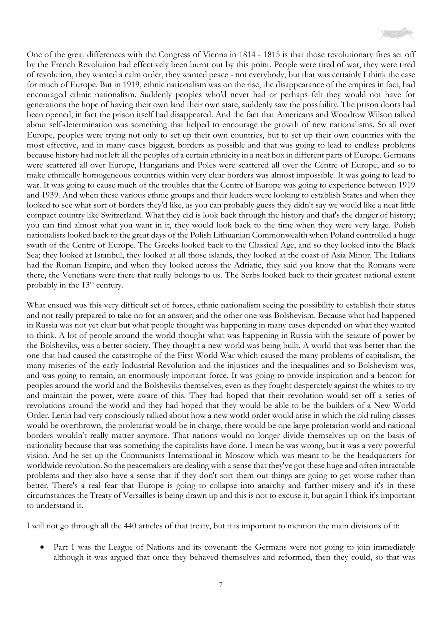

One of the great differences with the Congress of Vienna in 1814 - 1815 is that those revolutionary fires set off by the French Revolution had effectively been burnt out by this point. People were tired of war, they were tired of revolution, they wanted a calm order, they wanted peace - not everybody, but that was certainly I think the case for much of Europe. But in 1919, ethnic nationalism was on the rise, the disappearance of the empires in fact, had encouraged ethnic nationalism. Suddenly peoples who'd never had or perhaps felt they would not have for generations the hope of having their own land their own state, suddenly saw the possibility. The prison doors had been opened, in fact the prison itself had disappeared. And the fact that Americans and Woodrow Wilson talked about self-determination was something that helped to encourage the growth of new nationalisms. So all over Europe, peoples were trying not only to set up their own countries, but to set up their own countries with the most effective, and in many cases biggest, borders as possible and that was going to lead to endless problems because history had not left all the peoples of a certain ethnicity in a neat box in different parts of Europe. Germans were scattered all over Europe, Hungarians and Poles were scattered all over the Centre of Europe, and so to make ethnically homogeneous countries within very clear borders was almost impossible. It was going to lead to war. It was going to cause much of the troubles that the Centre of Europe was going to experience between 1919 and 1939. And when these various ethnic groups and their leaders were looking to establish States and when they looked to see what sort of borders they'd like, as you can probably guess they didn't say we would like a neat little compact country like Switzerland. What they did is look back through the history and that's the danger of history; you can find almost what you want in it, they would look back to the time when they were very large. Polish nationalists looked back to the great days of the Polish Lithuanian Commonwealth when Poland controlled a huge swath of the Centre of Europe. The Greeks looked back to the Classical Age, and so they looked into the Black Sea; they looked at Istanbul, they looked at all those islands, they looked at the coast of Asia Minor. The Italians had the Roman Empire, and when they looked across the Adriatic, they said you know that the Romans were there, the Venetians were there that really belongs to us. The Serbs looked back to their greatest national extent probably in the  $13<sup>th</sup>$  century.

What ensued was this very difficult set of forces, ethnic nationalism seeing the possibility to establish their states and not really prepared to take no for an answer, and the other one was Bolshevism. Because what had happened in Russia was not yet clear but what people thought was happening in many cases depended on what they wanted to think. A lot of people around the world thought what was happening in Russia with the seizure of power by the Bolsheviks, was a better society. They thought a new world was being built. A world that was better than the one that had caused the catastrophe of the First World War which caused the many problems of capitalism, the many miseries of the early Industrial Revolution and the injustices and the inequalities and so Bolshevism was, and was going to remain, an enormously important force. It was going to provide inspiration and a beacon for peoples around the world and the Bolsheviks themselves, even as they fought desperately against the whites to try and maintain the power, were aware of this. They had hoped that their revolution would set off a series of revolutions around the world and they had hoped that they would be able to be the builders of a New World Order. Lenin had very consciously talked about how a new world order would arise in which the old ruling classes would be overthrown, the proletariat would be in charge, there would be one large proletarian world and national borders wouldn't really matter anymore. That nations would no longer divide themselves up on the basis of nationality because that was something the capitalists have done. I mean he was wrong, but it was a very powerful vision. And he set up the Communists International in Moscow which was meant to be the headquarters for worldwide revolution. So the peacemakers are dealing with a sense that they've got these huge and often intractable problems and they also have a sense that if they don't sort them out things are going to get worse rather than better. There's a real fear that Europe is going to collapse into anarchy and further misery and it's in these circumstances the Treaty of Versailles is being drawn up and this is not to excuse it, but again I think it's important to understand it.

I will not go through all the 440 articles of that treaty, but it is important to mention the main divisions of it:

Part 1 was the League of Nations and its covenant: the Germans were not going to join immediately although it was argued that once they behaved themselves and reformed, then they could, so that was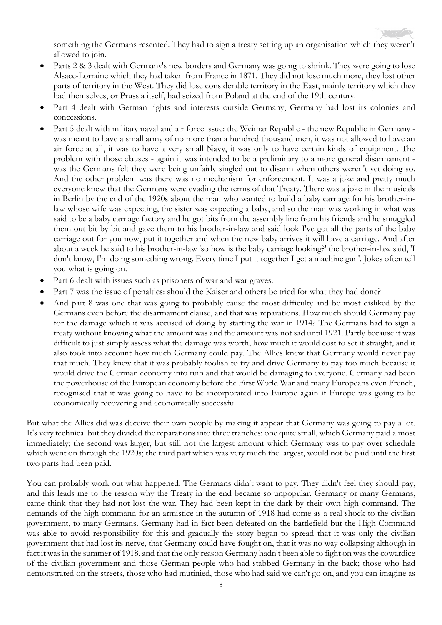something the Germans resented. They had to sign a treaty setting up an organisation which they weren't allowed to join.

- Parts 2 & 3 dealt with Germany's new borders and Germany was going to shrink. They were going to lose Alsace-Lorraine which they had taken from France in 1871. They did not lose much more, they lost other parts of territory in the West. They did lose considerable territory in the East, mainly territory which they had themselves, or Prussia itself, had seized from Poland at the end of the 19th century.
- Part 4 dealt with German rights and interests outside Germany, Germany had lost its colonies and concessions.
- Part 5 dealt with military naval and air force issue: the Weimar Republic the new Republic in Germany was meant to have a small army of no more than a hundred thousand men, it was not allowed to have an air force at all, it was to have a very small Navy, it was only to have certain kinds of equipment. The problem with those clauses - again it was intended to be a preliminary to a more general disarmament was the Germans felt they were being unfairly singled out to disarm when others weren't yet doing so. And the other problem was there was no mechanism for enforcement. It was a joke and pretty much everyone knew that the Germans were evading the terms of that Treaty. There was a joke in the musicals in Berlin by the end of the 1920s about the man who wanted to build a baby carriage for his brother-inlaw whose wife was expecting, the sister was expecting a baby, and so the man was working in what was said to be a baby carriage factory and he got bits from the assembly line from his friends and he smuggled them out bit by bit and gave them to his brother-in-law and said look I've got all the parts of the baby carriage out for you now, put it together and when the new baby arrives it will have a carriage. And after about a week he said to his brother-in-law 'so how is the baby carriage looking?' the brother-in-law said, 'I don't know, I'm doing something wrong. Every time I put it together I get a machine gun'. Jokes often tell you what is going on.
- Part 6 dealt with issues such as prisoners of war and war graves.
- Part 7 was the issue of penalties: should the Kaiser and others be tried for what they had done?
- And part 8 was one that was going to probably cause the most difficulty and be most disliked by the Germans even before the disarmament clause, and that was reparations. How much should Germany pay for the damage which it was accused of doing by starting the war in 1914? The Germans had to sign a treaty without knowing what the amount was and the amount was not sad until 1921. Partly because it was difficult to just simply assess what the damage was worth, how much it would cost to set it straight, and it also took into account how much Germany could pay. The Allies knew that Germany would never pay that much. They knew that it was probably foolish to try and drive Germany to pay too much because it would drive the German economy into ruin and that would be damaging to everyone. Germany had been the powerhouse of the European economy before the First World War and many Europeans even French, recognised that it was going to have to be incorporated into Europe again if Europe was going to be economically recovering and economically successful.

But what the Allies did was deceive their own people by making it appear that Germany was going to pay a lot. It's very technical but they divided the reparations into three tranches: one quite small, which Germany paid almost immediately; the second was larger, but still not the largest amount which Germany was to pay over schedule which went on through the 1920s; the third part which was very much the largest, would not be paid until the first two parts had been paid.

You can probably work out what happened. The Germans didn't want to pay. They didn't feel they should pay, and this leads me to the reason why the Treaty in the end became so unpopular. Germany or many Germans, came think that they had not lost the war. They had been kept in the dark by their own high command. The demands of the high command for an armistice in the autumn of 1918 had come as a real shock to the civilian government, to many Germans. Germany had in fact been defeated on the battlefield but the High Command was able to avoid responsibility for this and gradually the story began to spread that it was only the civilian government that had lost its nerve, that Germany could have fought on, that it was no way collapsing although in fact it was in the summer of 1918, and that the only reason Germany hadn't been able to fight on was the cowardice of the civilian government and those German people who had stabbed Germany in the back; those who had demonstrated on the streets, those who had mutinied, those who had said we can't go on, and you can imagine as